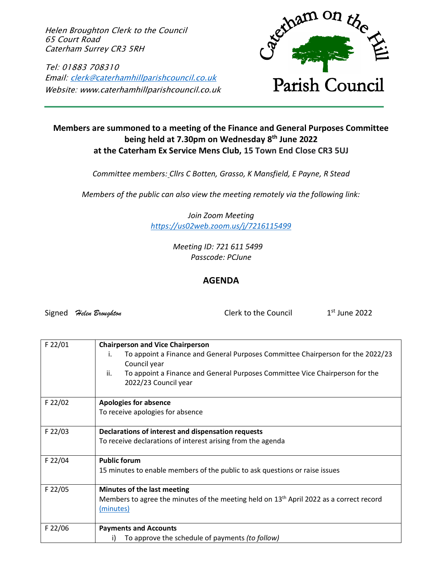Helen Broughton Clerk to the Council 65 Court Road Caterham Surrey CR3 5RH

Tel: 01883 708310 Email: [clerk@caterhamhillparishcouncil.co.uk](mailto:clerk@caterhamhillparishcouncil.co.uk) Website: www.caterhamhillparishcouncil.co.uk



## **Members are summoned to a meeting of the Finance and General Purposes Committee being held at 7.30pm on Wednesday 8 th June 2022 at the Caterham Ex Service Mens Club, 15 Town End Close CR3 5UJ**

*Committee members: Cllrs C Botten, Grasso, K Mansfield, E Payne, R Stead*

*Members of the public can also view the meeting remotely via the following link:*

*Join Zoom Meeting <https://us02web.zoom.us/j/7216115499>*

> *Meeting ID: 721 611 5499 Passcode: PCJune*

## **AGENDA**

Signed *Helen Broughton* Clerk to the Council

 $1<sup>st</sup>$  June 2022

| To appoint a Finance and General Purposes Committee Chairperson for the 2022/23<br>i.<br>Council year<br>To appoint a Finance and General Purposes Committee Vice Chairperson for the<br>ii.<br>2022/23 Council year<br>F 22/02<br><b>Apologies for absence</b><br>To receive apologies for absence<br>F 22/03<br>Declarations of interest and dispensation requests<br>To receive declarations of interest arising from the agenda<br>F 22/04<br><b>Public forum</b><br>15 minutes to enable members of the public to ask questions or raise issues<br>F 22/05<br>Minutes of the last meeting<br>Members to agree the minutes of the meeting held on 13 <sup>th</sup> April 2022 as a correct record<br>(minutes)<br>F 22/06<br><b>Payments and Accounts</b><br>i) | $F$ 22/01 | <b>Chairperson and Vice Chairperson</b>         |
|---------------------------------------------------------------------------------------------------------------------------------------------------------------------------------------------------------------------------------------------------------------------------------------------------------------------------------------------------------------------------------------------------------------------------------------------------------------------------------------------------------------------------------------------------------------------------------------------------------------------------------------------------------------------------------------------------------------------------------------------------------------------|-----------|-------------------------------------------------|
|                                                                                                                                                                                                                                                                                                                                                                                                                                                                                                                                                                                                                                                                                                                                                                     |           |                                                 |
|                                                                                                                                                                                                                                                                                                                                                                                                                                                                                                                                                                                                                                                                                                                                                                     |           |                                                 |
|                                                                                                                                                                                                                                                                                                                                                                                                                                                                                                                                                                                                                                                                                                                                                                     |           |                                                 |
|                                                                                                                                                                                                                                                                                                                                                                                                                                                                                                                                                                                                                                                                                                                                                                     |           |                                                 |
|                                                                                                                                                                                                                                                                                                                                                                                                                                                                                                                                                                                                                                                                                                                                                                     |           |                                                 |
|                                                                                                                                                                                                                                                                                                                                                                                                                                                                                                                                                                                                                                                                                                                                                                     |           |                                                 |
|                                                                                                                                                                                                                                                                                                                                                                                                                                                                                                                                                                                                                                                                                                                                                                     |           |                                                 |
|                                                                                                                                                                                                                                                                                                                                                                                                                                                                                                                                                                                                                                                                                                                                                                     |           |                                                 |
|                                                                                                                                                                                                                                                                                                                                                                                                                                                                                                                                                                                                                                                                                                                                                                     |           |                                                 |
|                                                                                                                                                                                                                                                                                                                                                                                                                                                                                                                                                                                                                                                                                                                                                                     |           |                                                 |
|                                                                                                                                                                                                                                                                                                                                                                                                                                                                                                                                                                                                                                                                                                                                                                     |           |                                                 |
|                                                                                                                                                                                                                                                                                                                                                                                                                                                                                                                                                                                                                                                                                                                                                                     |           |                                                 |
|                                                                                                                                                                                                                                                                                                                                                                                                                                                                                                                                                                                                                                                                                                                                                                     |           |                                                 |
|                                                                                                                                                                                                                                                                                                                                                                                                                                                                                                                                                                                                                                                                                                                                                                     |           |                                                 |
|                                                                                                                                                                                                                                                                                                                                                                                                                                                                                                                                                                                                                                                                                                                                                                     |           |                                                 |
|                                                                                                                                                                                                                                                                                                                                                                                                                                                                                                                                                                                                                                                                                                                                                                     |           |                                                 |
|                                                                                                                                                                                                                                                                                                                                                                                                                                                                                                                                                                                                                                                                                                                                                                     |           |                                                 |
|                                                                                                                                                                                                                                                                                                                                                                                                                                                                                                                                                                                                                                                                                                                                                                     |           |                                                 |
|                                                                                                                                                                                                                                                                                                                                                                                                                                                                                                                                                                                                                                                                                                                                                                     |           |                                                 |
|                                                                                                                                                                                                                                                                                                                                                                                                                                                                                                                                                                                                                                                                                                                                                                     |           | To approve the schedule of payments (to follow) |